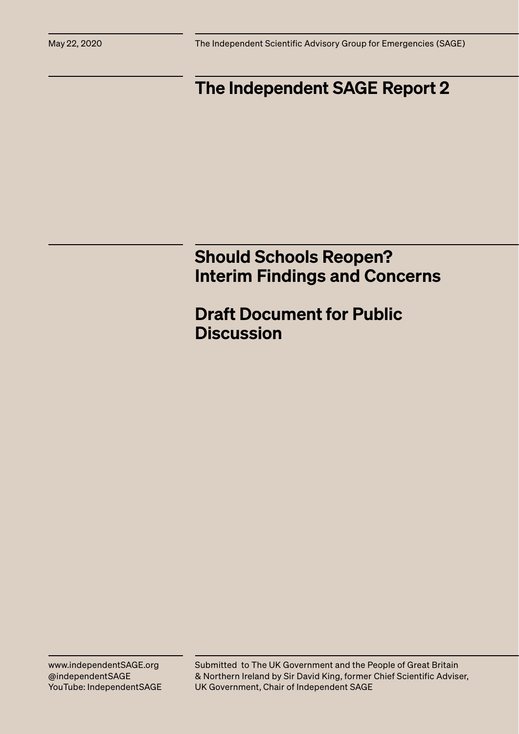May 22, 2020 The Independent Scientific Advisory Group for Emergencies (SAGE)

# The Independent SAGE Report 2

# Should Schools Reopen? Interim Findings and Concerns

Draft Document for Public **Discussion** 

Submitted to The UK Government and the People of Great Britain & Northern Ireland by Sir David King, former Chief Scientific Adviser, UK Government, Chair of Independent SAGE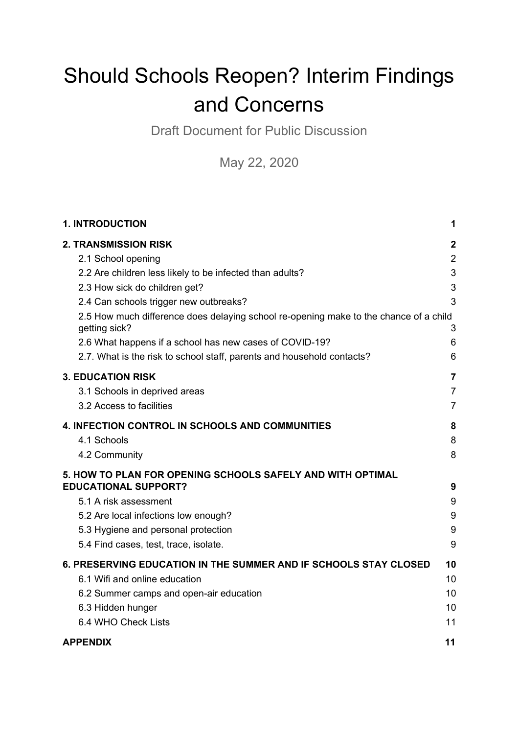# Should Schools Reopen? Interim Findings and Concerns

Draft Document for Public Discussion

May 22, 2020

| <b>1. INTRODUCTION</b>                                                                                                                                                                                                                                                                                                                                                                                                                  | 1                                                            |
|-----------------------------------------------------------------------------------------------------------------------------------------------------------------------------------------------------------------------------------------------------------------------------------------------------------------------------------------------------------------------------------------------------------------------------------------|--------------------------------------------------------------|
| <b>2. TRANSMISSION RISK</b><br>2.1 School opening<br>2.2 Are children less likely to be infected than adults?<br>2.3 How sick do children get?<br>2.4 Can schools trigger new outbreaks?<br>2.5 How much difference does delaying school re-opening make to the chance of a child<br>getting sick?<br>2.6 What happens if a school has new cases of COVID-19?<br>2.7. What is the risk to school staff, parents and household contacts? | $\mathbf{2}$<br>$\overline{2}$<br>3<br>3<br>3<br>3<br>6<br>6 |
| <b>3. EDUCATION RISK</b>                                                                                                                                                                                                                                                                                                                                                                                                                | $\overline{7}$                                               |
| 3.1 Schools in deprived areas                                                                                                                                                                                                                                                                                                                                                                                                           | $\overline{7}$                                               |
| 3.2 Access to facilities                                                                                                                                                                                                                                                                                                                                                                                                                | $\overline{7}$                                               |
| <b>4. INFECTION CONTROL IN SCHOOLS AND COMMUNITIES</b>                                                                                                                                                                                                                                                                                                                                                                                  | 8                                                            |
| 4.1 Schools                                                                                                                                                                                                                                                                                                                                                                                                                             | 8                                                            |
| 4.2 Community                                                                                                                                                                                                                                                                                                                                                                                                                           | 8                                                            |
| 5. HOW TO PLAN FOR OPENING SCHOOLS SAFELY AND WITH OPTIMAL<br><b>EDUCATIONAL SUPPORT?</b><br>5.1 A risk assessment<br>5.2 Are local infections low enough?<br>5.3 Hygiene and personal protection<br>5.4 Find cases, test, trace, isolate.                                                                                                                                                                                              | 9<br>9<br>9<br>9<br>9                                        |
| 6. PRESERVING EDUCATION IN THE SUMMER AND IF SCHOOLS STAY CLOSED                                                                                                                                                                                                                                                                                                                                                                        | 10                                                           |
| 6.1 Wifi and online education                                                                                                                                                                                                                                                                                                                                                                                                           | 10                                                           |
| 6.2 Summer camps and open-air education                                                                                                                                                                                                                                                                                                                                                                                                 | 10                                                           |
| 6.3 Hidden hunger                                                                                                                                                                                                                                                                                                                                                                                                                       | 10                                                           |
| 6.4 WHO Check Lists                                                                                                                                                                                                                                                                                                                                                                                                                     | 11                                                           |
| <b>APPENDIX</b>                                                                                                                                                                                                                                                                                                                                                                                                                         | 11                                                           |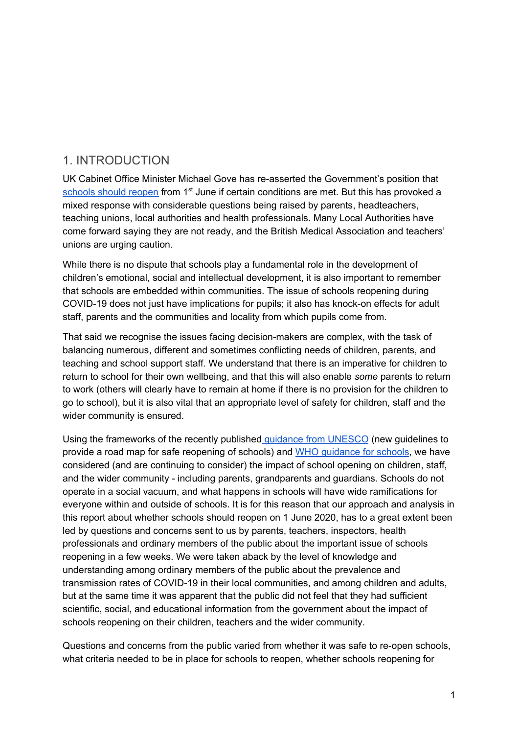# <span id="page-2-0"></span>1. INTRODUCTION

UK Cabinet Office Minister Michael Gove has re-asserted the Government's position that [schools](https://www.gov.uk/government/publications/closure-of-educational-settings-information-for-parents-and-carers/reopening-schools-and-other-educational-settings-from-1-june) should reopen from 1<sup>st</sup> June if certain conditions are met. But this has provoked a mixed response with considerable questions being raised by parents, headteachers, teaching unions, local authorities and health professionals. Many Local Authorities have come forward saying they are not ready, and the British Medical Association and teachers' unions are urging caution.

While there is no dispute that schools play a fundamental role in the development of children's emotional, social and intellectual development, it is also important to remember that schools are embedded within communities. The issue of schools reopening during COVID-19 does not just have implications for pupils; it also has knock-on effects for adult staff, parents and the communities and locality from which pupils come from.

That said we recognise the issues facing decision-makers are complex, with the task of balancing numerous, different and sometimes conflicting needs of children, parents, and teaching and school support staff. We understand that there is an imperative for children to return to school for their own wellbeing, and that this will also enable *some* parents to return to work (others will clearly have to remain at home if there is no provision for the children to go to school), but it is also vital that an appropriate level of safety for children, staff and the wider community is ensured.

Using the frameworks of the recently published guidance from [UNESCO](https://en.unesco.org/news/new-guidelines-provide-roadmap-safe-reopening-schools) (new guidelines to provide a road map for safe reopening of schools) and WHO [guidance](https://www.who.int/emergencies/diseases/novel-coronavirus-2019/technical-guidance/guidance-for-schools-workplaces-institutions) for schools, we have considered (and are continuing to consider) the impact of school opening on children, staff, and the wider community - including parents, grandparents and guardians. Schools do not operate in a social vacuum, and what happens in schools will have wide ramifications for everyone within and outside of schools. It is for this reason that our approach and analysis in this report about whether schools should reopen on 1 June 2020, has to a great extent been led by questions and concerns sent to us by parents, teachers, inspectors, health professionals and ordinary members of the public about the important issue of schools reopening in a few weeks. We were taken aback by the level of knowledge and understanding among ordinary members of the public about the prevalence and transmission rates of COVID-19 in their local communities, and among children and adults, but at the same time it was apparent that the public did not feel that they had sufficient scientific, social, and educational information from the government about the impact of schools reopening on their children, teachers and the wider community.

Questions and concerns from the public varied from whether it was safe to re-open schools, what criteria needed to be in place for schools to reopen, whether schools reopening for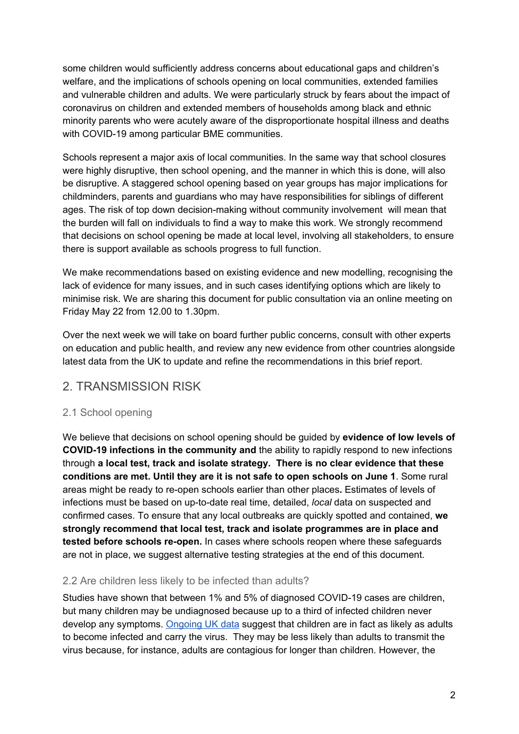some children would sufficiently address concerns about educational gaps and children's welfare, and the implications of schools opening on local communities, extended families and vulnerable children and adults. We were particularly struck by fears about the impact of coronavirus on children and extended members of households among black and ethnic minority parents who were acutely aware of the disproportionate hospital illness and deaths with COVID-19 among particular BME communities.

Schools represent a major axis of local communities. In the same way that school closures were highly disruptive, then school opening, and the manner in which this is done, will also be disruptive. A staggered school opening based on year groups has major implications for childminders, parents and guardians who may have responsibilities for siblings of different ages. The risk of top down decision-making without community involvement will mean that the burden will fall on individuals to find a way to make this work. We strongly recommend that decisions on school opening be made at local level, involving all stakeholders, to ensure there is support available as schools progress to full function.

We make recommendations based on existing evidence and new modelling, recognising the lack of evidence for many issues, and in such cases identifying options which are likely to minimise risk. We are sharing this document for public consultation via an online meeting on Friday May 22 from 12.00 to 1.30pm.

Over the next week we will take on board further public concerns, consult with other experts on education and public health, and review any new evidence from other countries alongside latest data from the UK to update and refine the recommendations in this brief report.

# <span id="page-3-0"></span>2. TRANSMISSION RISK

#### <span id="page-3-1"></span>2.1 School opening

We believe that decisions on school opening should be guided by **evidence of low levels of COVID-19 infections in the community and** the ability to rapidly respond to new infections through **a local test, track and isolate strategy. There is no clear evidence that these conditions are met. Until they are it is not safe to open schools on June 1**. Some rural areas might be ready to re-open schools earlier than other places**.** Estimates of levels of infections must be based on up-to-date real time, detailed, *local* data on suspected and confirmed cases. To ensure that any local outbreaks are quickly spotted and contained, **we strongly recommend that local test, track and isolate programmes are in place and tested before schools re-open.** In cases where schools reopen where these safeguards are not in place, we suggest alternative testing strategies at the end of this document.

#### <span id="page-3-2"></span>2.2 Are children less likely to be infected than adults?

Studies have shown that between 1% and 5% of diagnosed COVID-19 cases are children, but many children may be undiagnosed because up to a third of infected children never develop any symptoms. [Ongoing](https://www.ons.gov.uk/peoplepopulationandcommunity/healthandsocialcare/conditionsanddiseases/bulletins/coronaviruscovid19infectionsurveypilot/england21may2020) UK data suggest that children are in fact as likely as adults to become infected and carry the virus. They may be less likely than adults to transmit the virus because, for instance, adults are contagious for longer than children. However, the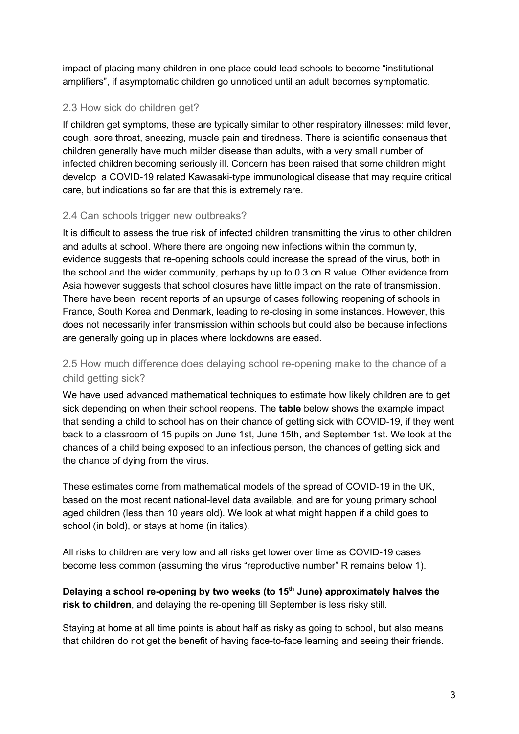impact of placing many children in one place could lead schools to become "institutional amplifiers", if asymptomatic children go unnoticed until an adult becomes symptomatic.

#### <span id="page-4-0"></span>2.3 How sick do children get?

If children get symptoms, these are typically similar to other respiratory illnesses: mild fever, cough, sore throat, sneezing, muscle pain and tiredness. There is scientific consensus that children generally have much milder disease than adults, with a very small number of infected children becoming seriously ill. Concern has been raised that some children might develop a COVID-19 related Kawasaki-type immunological disease that may require critical care, but indications so far are that this is extremely rare.

#### <span id="page-4-1"></span>2.4 Can schools trigger new outbreaks?

It is difficult to assess the true risk of infected children transmitting the virus to other children and adults at school. Where there are ongoing new infections within the community, evidence suggests that re-opening schools could increase the spread of the virus, both in the school and the wider community, perhaps by up to 0.3 on R value. Other evidence from Asia however suggests that school closures have little impact on the rate of transmission. There have been recent reports of an upsurge of cases following reopening of schools in France, South Korea and Denmark, leading to re-closing in some instances. However, this does not necessarily infer transmission within schools but could also be because infections are generally going up in places where lockdowns are eased.

#### <span id="page-4-2"></span>2.5 How much difference does delaying school re-opening make to the chance of a child getting sick?

We have used advanced mathematical techniques to estimate how likely children are to get sick depending on when their school reopens. The **table** below shows the example impact that sending a child to school has on their chance of getting sick with COVID-19, if they went back to a classroom of 15 pupils on June 1st, June 15th, and September 1st. We look at the chances of a child being exposed to an infectious person, the chances of getting sick and the chance of dying from the virus.

These estimates come from mathematical models of the spread of COVID-19 in the UK, based on the most recent national-level data available, and are for young primary school aged children (less than 10 years old). We look at what might happen if a child goes to school (in bold), or stays at home (in italics).

All risks to children are very low and all risks get lower over time as COVID-19 cases become less common (assuming the virus "reproductive number" R remains below 1).

#### **Delaying a school re-opening by two weeks (to 15 th June) approximately halves the risk to children**, and delaying the re-opening till September is less risky still.

Staying at home at all time points is about half as risky as going to school, but also means that children do not get the benefit of having face-to-face learning and seeing their friends.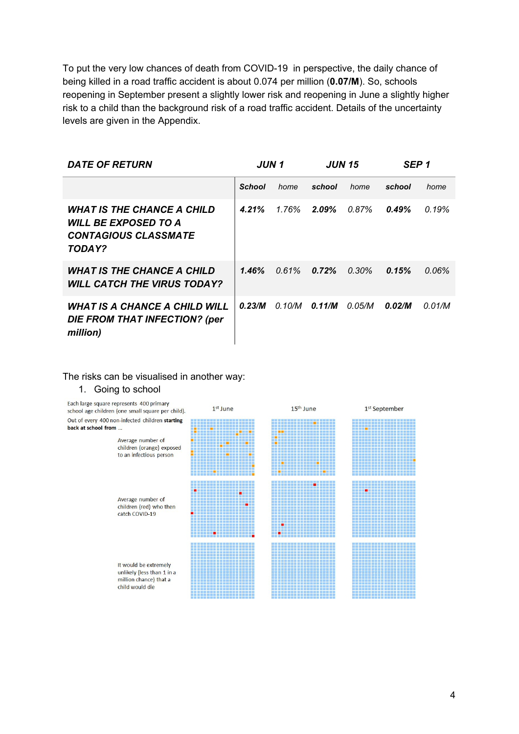To put the very low chances of death from COVID-19 in perspective, the daily chance of being killed in a road traffic accident is about 0.074 per million (**0.07/M**). So, schools reopening in September present a slightly lower risk and reopening in June a slightly higher risk to a child than the background risk of a road traffic accident. Details of the uncertainty levels are given in the Appendix.

| <b>DATE OF RETURN</b>                                                                              | JUN 1         |          | <b>JUN 15</b> |          | SEP <sub>1</sub> |        |
|----------------------------------------------------------------------------------------------------|---------------|----------|---------------|----------|------------------|--------|
|                                                                                                    | <b>School</b> | home     | school        | home     | school           | home   |
| <b>WHAT IS THE CHANCE A CHILD</b><br>WILL BE EXPOSED TO A<br><b>CONTAGIOUS CLASSMATE</b><br>TODAY? | 4.21%         | 1.76%    | $2.09\%$      | 0.87%    | 0.49%            | 0.19%  |
| <b>WHAT IS THE CHANCE A CHILD</b><br><b>WILL CATCH THE VIRUS TODAY?</b>                            | 1.46%         | $0.61\%$ | 0.72%         | $0.30\%$ | 0.15%            | 0.06%  |
| <b>WHAT IS A CHANCE A CHILD WILL</b><br>DIE FROM THAT INFECTION? (per<br>million)                  | 0.23/M        | 0.10/M   | 0.11/M        | 0.05/M   | 0.02/M           | 0.01/M |

#### The risks can be visualised in another way:

#### 1. Going to school

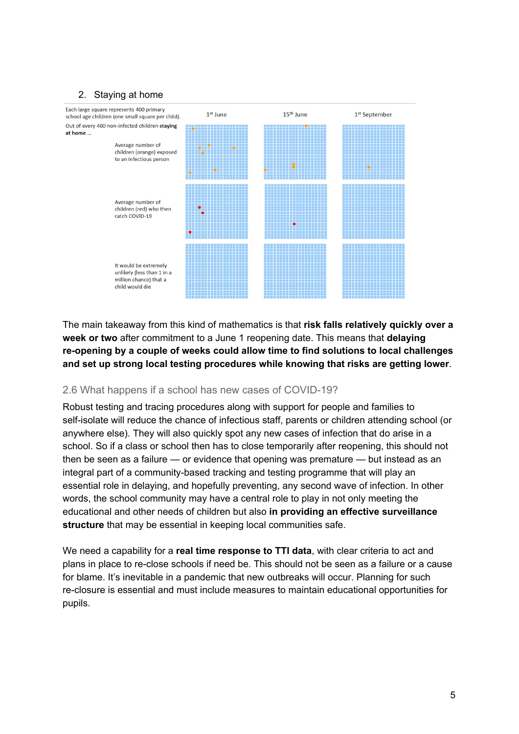#### 2. Staying at home



The main takeaway from this kind of mathematics is that **risk falls relatively quickly over a week or two** after commitment to a June 1 reopening date. This means that **delaying re-opening by a couple of weeks could allow time to find solutions to local challenges and set up strong local testing procedures while knowing that risks are getting lower**.

#### <span id="page-6-0"></span>2.6 What happens if a school has new cases of COVID-19?

Robust testing and tracing procedures along with support for people and families to self-isolate will reduce the chance of infectious staff, parents or children attending school (or anywhere else). They will also quickly spot any new cases of infection that do arise in a school. So if a class or school then has to close temporarily after reopening, this should not then be seen as a failure — or evidence that opening was premature — but instead as an integral part of a community-based tracking and testing programme that will play an essential role in delaying, and hopefully preventing, any second wave of infection. In other words, the school community may have a central role to play in not only meeting the educational and other needs of children but also **in providing an effective surveillance structure** that may be essential in keeping local communities safe.

We need a capability for a **real time response to TTI data**, with clear criteria to act and plans in place to re-close schools if need be. This should not be seen as a failure or a cause for blame. It's inevitable in a pandemic that new outbreaks will occur. Planning for such re-closure is essential and must include measures to maintain educational opportunities for pupils.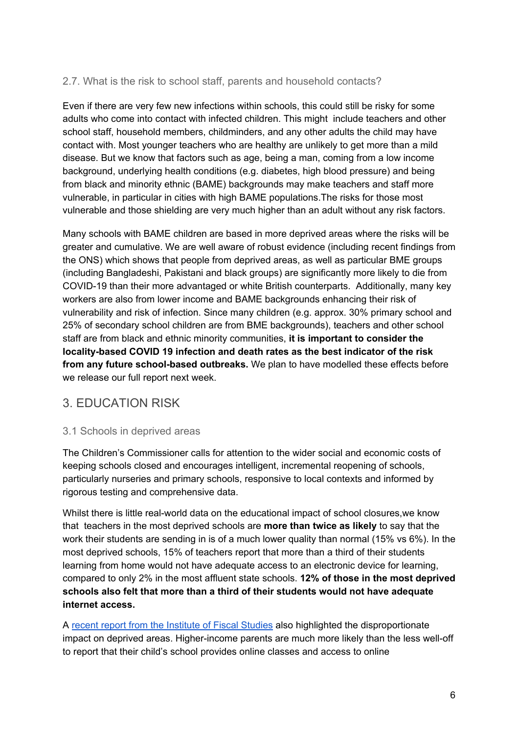#### <span id="page-7-0"></span>2.7. What is the risk to school staff, parents and household contacts?

Even if there are very few new infections within schools, this could still be risky for some adults who come into contact with infected children. This might include teachers and other school staff, household members, childminders, and any other adults the child may have contact with. Most younger teachers who are healthy are unlikely to get more than a mild disease. But we know that factors such as age, being a man, coming from a low income background, underlying health conditions (e.g. diabetes, high blood pressure) and being from black and minority ethnic (BAME) backgrounds may make teachers and staff more vulnerable, in particular in cities with high BAME populations.The risks for those most vulnerable and those shielding are very much higher than an adult without any risk factors.

Many schools with BAME children are based in more deprived areas where the risks will be greater and cumulative. We are well aware of robust evidence (including recent findings from the ONS) which shows that people from deprived areas, as well as particular BME groups (including Bangladeshi, Pakistani and black groups) are significantly more likely to die from COVID-19 than their more advantaged or white British counterparts. Additionally, many key workers are also from lower income and BAME backgrounds enhancing their risk of vulnerability and risk of infection. Since many children (e.g. approx. 30% primary school and 25% of secondary school children are from BME backgrounds), teachers and other school staff are from black and ethnic minority communities, **it is important to consider the locality-based COVID 19 infection and death rates as the best indicator of the risk from any future school-based outbreaks.** We plan to have modelled these effects before we release our full report next week.

# <span id="page-7-1"></span>3. EDUCATION RISK

#### <span id="page-7-2"></span>3.1 Schools in deprived areas

The Children's Commissioner calls for attention to the wider social and economic costs of keeping schools closed and encourages intelligent, incremental reopening of schools, particularly nurseries and primary schools, responsive to local contexts and informed by rigorous testing and comprehensive data.

Whilst there is little real-world data on the educational impact of school closures,we know that teachers in the most deprived schools are **more than twice as likely** to say that the work their students are sending in is of a much lower quality than normal (15% vs 6%). In the most deprived schools, 15% of teachers report that more than a third of their students learning from home would not have adequate access to an electronic device for learning, compared to only 2% in the most affluent state schools. **12% of those in the most deprived schools also felt that more than a third of their students would not have adequate internet access.**

A recent report from the [Institute](https://www.ifs.org.uk/publications/14848) of Fiscal Studies also highlighted the disproportionate impact on deprived areas. Higher-income parents are much more likely than the less well-off to report that their child's school provides online classes and access to online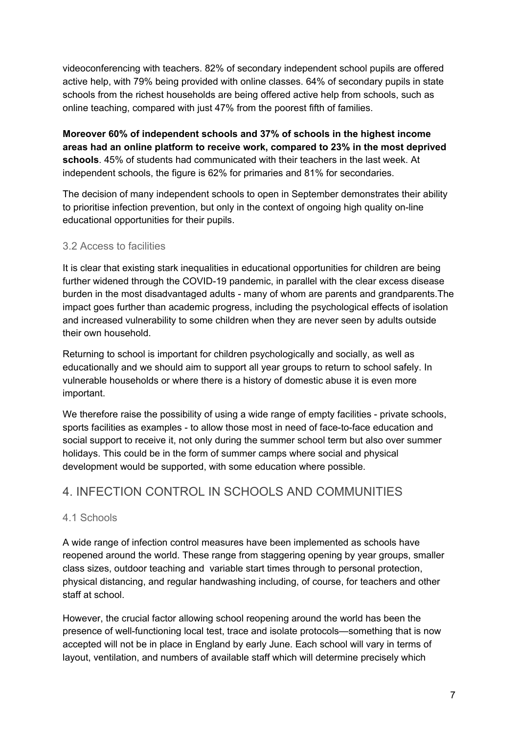videoconferencing with teachers. 82% of secondary independent school pupils are offered active help, with 79% being provided with online classes. 64% of secondary pupils in state schools from the richest households are being offered active help from schools, such as online teaching, compared with just 47% from the poorest fifth of families.

**Moreover 60% of independent schools and 37% of schools in the highest income areas had an online platform to receive work, compared to 23% in the most deprived schools**. 45% of students had communicated with their teachers in the last week. At independent schools, the figure is 62% for primaries and 81% for secondaries.

The decision of many independent schools to open in September demonstrates their ability to prioritise infection prevention, but only in the context of ongoing high quality on-line educational opportunities for their pupils.

#### <span id="page-8-0"></span>3.2 Access to facilities

It is clear that existing stark inequalities in educational opportunities for children are being further widened through the COVID-19 pandemic, in parallel with the clear excess disease burden in the most disadvantaged adults - many of whom are parents and grandparents.The impact goes further than academic progress, including the psychological effects of isolation and increased vulnerability to some children when they are never seen by adults outside their own household.

Returning to school is important for children psychologically and socially, as well as educationally and we should aim to support all year groups to return to school safely. In vulnerable households or where there is a history of domestic abuse it is even more important.

We therefore raise the possibility of using a wide range of empty facilities - private schools, sports facilities as examples - to allow those most in need of face-to-face education and social support to receive it, not only during the summer school term but also over summer holidays. This could be in the form of summer camps where social and physical development would be supported, with some education where possible.

# <span id="page-8-1"></span>4. INFECTION CONTROL IN SCHOOLS AND COMMUNITIES

#### <span id="page-8-2"></span>4.1 Schools

A wide range of infection control measures have been implemented as schools have reopened around the world. These range from staggering opening by year groups, smaller class sizes, outdoor teaching and variable start times through to personal protection, physical distancing, and regular handwashing including, of course, for teachers and other staff at school.

However, the crucial factor allowing school reopening around the world has been the presence of well-functioning local test, trace and isolate protocols—something that is now accepted will not be in place in England by early June. Each school will vary in terms of layout, ventilation, and numbers of available staff which will determine precisely which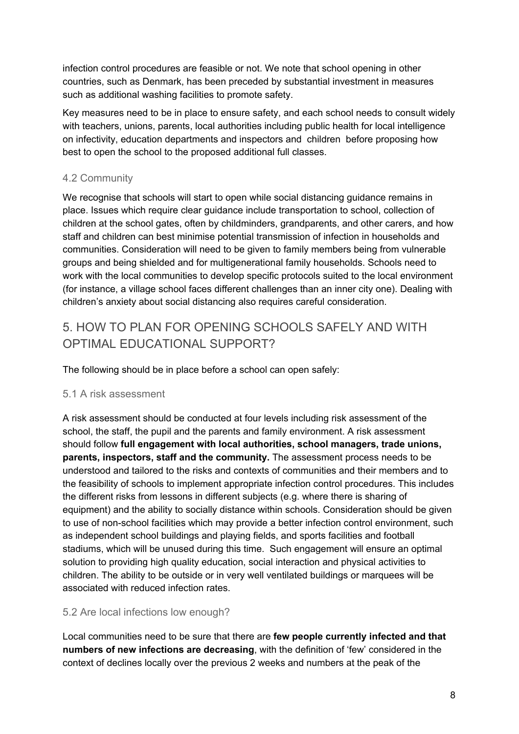infection control procedures are feasible or not. We note that school opening in other countries, such as Denmark, has been preceded by substantial investment in measures such as additional washing facilities to promote safety.

Key measures need to be in place to ensure safety, and each school needs to consult widely with teachers, unions, parents, local authorities including public health for local intelligence on infectivity, education departments and inspectors and children before proposing how best to open the school to the proposed additional full classes.

#### <span id="page-9-0"></span>4.2 Community

We recognise that schools will start to open while social distancing guidance remains in place. Issues which require clear guidance include transportation to school, collection of children at the school gates, often by childminders, grandparents, and other carers, and how staff and children can best minimise potential transmission of infection in households and communities. Consideration will need to be given to family members being from vulnerable groups and being shielded and for multigenerational family households. Schools need to work with the local communities to develop specific protocols suited to the local environment (for instance, a village school faces different challenges than an inner city one). Dealing with children's anxiety about social distancing also requires careful consideration.

# <span id="page-9-1"></span>5. HOW TO PLAN FOR OPENING SCHOOLS SAFELY AND WITH OPTIMAL EDUCATIONAL SUPPORT?

The following should be in place before a school can open safely:

#### <span id="page-9-2"></span>5.1 A risk assessment

A risk assessment should be conducted at four levels including risk assessment of the school, the staff, the pupil and the parents and family environment. A risk assessment should follow **full engagement with local authorities, school managers, trade unions, parents, inspectors, staff and the community.** The assessment process needs to be understood and tailored to the risks and contexts of communities and their members and to the feasibility of schools to implement appropriate infection control procedures. This includes the different risks from lessons in different subjects (e.g. where there is sharing of equipment) and the ability to socially distance within schools. Consideration should be given to use of non-school facilities which may provide a better infection control environment, such as independent school buildings and playing fields, and sports facilities and football stadiums, which will be unused during this time. Such engagement will ensure an optimal solution to providing high quality education, social interaction and physical activities to children. The ability to be outside or in very well ventilated buildings or marquees will be associated with reduced infection rates.

#### <span id="page-9-3"></span>5.2 Are local infections low enough?

Local communities need to be sure that there are **few people currently infected and that numbers of new infections are decreasing**, with the definition of 'few' considered in the context of declines locally over the previous 2 weeks and numbers at the peak of the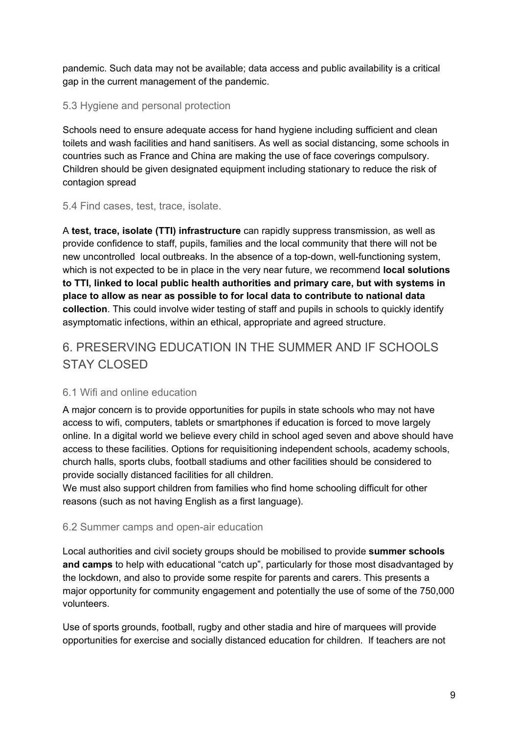pandemic. Such data may not be available; data access and public availability is a critical gap in the current management of the pandemic.

#### <span id="page-10-0"></span>5.3 Hygiene and personal protection

Schools need to ensure adequate access for hand hygiene including sufficient and clean toilets and wash facilities and hand sanitisers. As well as social distancing, some schools in countries such as France and China are making the use of face coverings compulsory. Children should be given designated equipment including stationary to reduce the risk of contagion spread

#### <span id="page-10-1"></span>5.4 Find cases, test, trace, isolate.

A **test, trace, isolate (TTI) infrastructure** can rapidly suppress transmission, as well as provide confidence to staff, pupils, families and the local community that there will not be new uncontrolled local outbreaks. In the absence of a top-down, well-functioning system, which is not expected to be in place in the very near future, we recommend **local solutions to TTI, linked to local public health authorities and primary care, but with systems in place to allow as near as possible to for local data to contribute to national data collection**. This could involve wider testing of staff and pupils in schools to quickly identify asymptomatic infections, within an ethical, appropriate and agreed structure.

# <span id="page-10-2"></span>6. PRESERVING EDUCATION IN THE SUMMER AND IF SCHOOLS STAY CLOSED

#### <span id="page-10-3"></span>6.1 Wifi and online education

A major concern is to provide opportunities for pupils in state schools who may not have access to wifi, computers, tablets or smartphones if education is forced to move largely online. In a digital world we believe every child in school aged seven and above should have access to these facilities. Options for requisitioning independent schools, academy schools, church halls, sports clubs, football stadiums and other facilities should be considered to provide socially distanced facilities for all children.

We must also support children from families who find home schooling difficult for other reasons (such as not having English as a first language).

#### <span id="page-10-4"></span>6.2 Summer camps and open-air education

Local authorities and civil society groups should be mobilised to provide **summer schools and camps** to help with educational "catch up", particularly for those most disadvantaged by the lockdown, and also to provide some respite for parents and carers. This presents a major opportunity for community engagement and potentially the use of some of the 750,000 volunteers.

Use of sports grounds, football, rugby and other stadia and hire of marquees will provide opportunities for exercise and socially distanced education for children. If teachers are not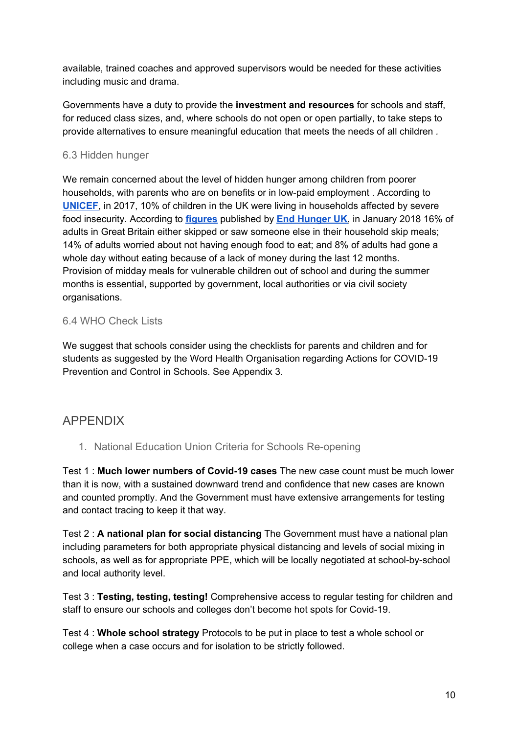available, trained coaches and approved supervisors would be needed for these activities including music and drama.

Governments have a duty to provide the **investment and resources** for schools and staff, for reduced class sizes, and, where schools do not open or open partially, to take steps to provide alternatives to ensure meaningful education that meets the needs of all children *.*

#### <span id="page-11-0"></span>6.3 Hidden hunger

We remain concerned about the level of hidden hunger among children from poorer households, with parents who are on benefits or in low-paid employment . According to **[UNICEF](https://www.unicef-irc.org/publications/pdf/IWP_2017_09.pdf)**, in 2017, 10% of children in the UK were living in households affected by severe food insecurity. According t[o](http://endhungeruk.org/shocking-figures-showing-hidden-hunger-show-need-find/) **[figures](http://endhungeruk.org/shocking-figures-showing-hidden-hunger-show-need-find/)** published by **[E](http://endhungeruk.org/)nd [Hunger](http://endhungeruk.org/) UK**, in January 2018 16% of adults in Great Britain either skipped or saw someone else in their household skip meals; 14% of adults worried about not having enough food to eat; and 8% of adults had gone a whole day without eating because of a lack of money during the last 12 months. Provision of midday meals for vulnerable children out of school and during the summer months is essential, supported by government, local authorities or via civil society organisations.

#### <span id="page-11-1"></span>6.4 WHO Check Lists

We suggest that schools consider using the checklists for parents and children and for students as suggested by the Word Health Organisation regarding Actions for COVID-19 Prevention and Control in Schools. See Appendix 3.

# <span id="page-11-2"></span>APPENDIX

1. National Education Union Criteria for Schools Re-opening

Test 1 : **Much lower numbers of Covid-19 cases** The new case count must be much lower than it is now, with a sustained downward trend and confidence that new cases are known and counted promptly. And the Government must have extensive arrangements for testing and contact tracing to keep it that way.

Test 2 : **A national plan for social distancing** The Government must have a national plan including parameters for both appropriate physical distancing and levels of social mixing in schools, as well as for appropriate PPE, which will be locally negotiated at school-by-school and local authority level.

Test 3 : **Testing, testing, testing!** Comprehensive access to regular testing for children and staff to ensure our schools and colleges don't become hot spots for Covid-19.

Test 4 : **Whole school strategy** Protocols to be put in place to test a whole school or college when a case occurs and for isolation to be strictly followed.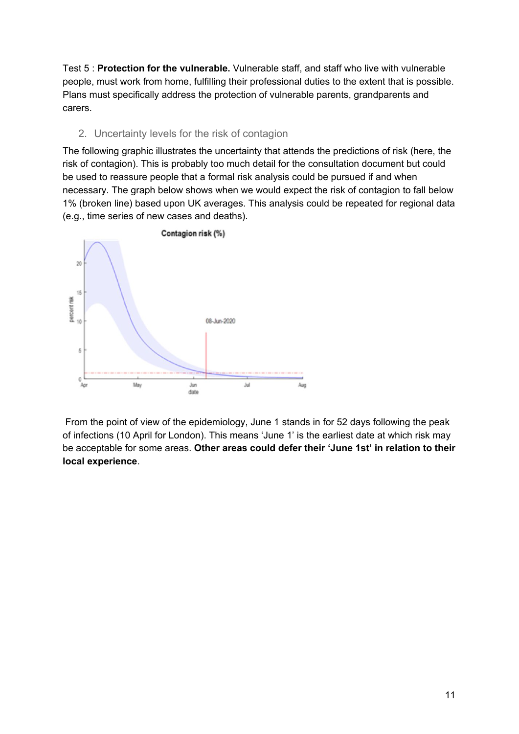Test 5 : **Protection for the vulnerable.** Vulnerable staff, and staff who live with vulnerable people, must work from home, fulfilling their professional duties to the extent that is possible. Plans must specifically address the protection of vulnerable parents, grandparents and carers.

#### 2. Uncertainty levels for the risk of contagion

The following graphic illustrates the uncertainty that attends the predictions of risk (here, the risk of contagion). This is probably too much detail for the consultation document but could be used to reassure people that a formal risk analysis could be pursued if and when necessary. The graph below shows when we would expect the risk of contagion to fall below 1% (broken line) based upon UK averages. This analysis could be repeated for regional data (e.g., time series of new cases and deaths).



From the point of view of the epidemiology, June 1 stands in for 52 days following the peak of infections (10 April for London). This means 'June 1' is the earliest date at which risk may be acceptable for some areas. **Other areas could defer their 'June 1st' in relation to their local experience**.